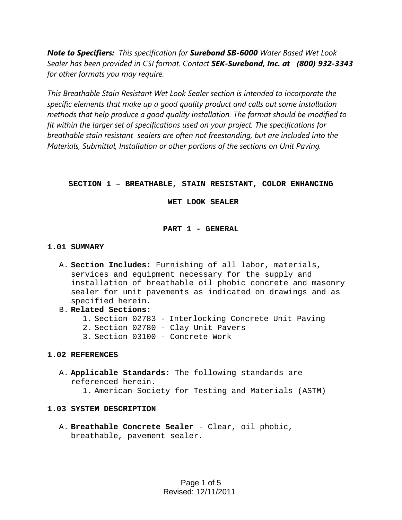*Note to Specifiers: This specification for Surebond SB-6000 Water Based Wet Look Sealer has been provided in CSI format. Contact SEK-Surebond, Inc. at (800) 932-3343 for other formats you may require.* 

*This Breathable Stain Resistant Wet Look Sealer section is intended to incorporate the specific elements that make up a good quality product and calls out some installation methods that help produce a good quality installation. The format should be modified to fit within the larger set of specifications used on your project. The specifications for breathable stain resistant sealers are often not freestanding, but are included into the Materials, Submittal, Installation or other portions of the sections on Unit Paving.* 

# **SECTION 1 – BREATHABLE, STAIN RESISTANT, COLOR ENHANCING**

 **WET LOOK SEALER** 

# **PART 1 - GENERAL**

# **1.01 SUMMARY**

- A. **Section Includes:** Furnishing of all labor, materials, services and equipment necessary for the supply and installation of breathable oil phobic concrete and masonry sealer for unit pavements as indicated on drawings and as specified herein.
- B. **Related Sections:**
	- 1. Section 02783 Interlocking Concrete Unit Paving
	- 2. Section 02780 Clay Unit Pavers
	- 3. Section 03100 Concrete Work

## **1.02 REFERENCES**

A. **Applicable Standards:** The following standards are referenced herein.

1. American Society for Testing and Materials (ASTM)

## **1.03 SYSTEM DESCRIPTION**

A. **Breathable Concrete Sealer** - Clear, oil phobic, breathable, pavement sealer.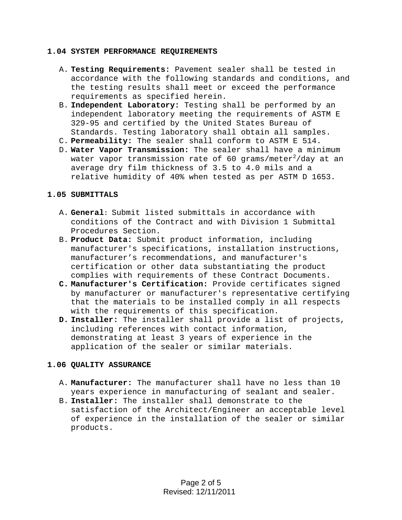#### **1.04 SYSTEM PERFORMANCE REQUIREMENTS**

- A. **Testing Requirements:** Pavement sealer shall be tested in accordance with the following standards and conditions, and the testing results shall meet or exceed the performance requirements as specified herein.
- B. **Independent Laboratory:** Testing shall be performed by an independent laboratory meeting the requirements of ASTM E 329-95 and certified by the United States Bureau of Standards. Testing laboratory shall obtain all samples.
- C. **Permeability:** The sealer shall conform to ASTM E 514.
- D. **Water Vapor Transmission:** The sealer shall have a minimum water vapor transmission rate of 60 grams/meter $^2/\mathtt{day}$  at an average dry film thickness of 3.5 to 4.0 mils and a relative humidity of 40% when tested as per ASTM D 1653.

### **1.05 SUBMITTALS**

- A. **General:** Submit listed submittals in accordance with conditions of the Contract and with Division 1 Submittal Procedures Section.
- B. **Product Data:** Submit product information, including manufacturer's specifications, installation instructions, manufacturer's recommendations, and manufacturer's certification or other data substantiating the product complies with requirements of these Contract Documents.
- **C. Manufacturer's Certification:** Provide certificates signed by manufacturer or manufacturer's representative certifying that the materials to be installed comply in all respects with the requirements of this specification.
- **D. Installer:** The installer shall provide a list of projects, including references with contact information, demonstrating at least 3 years of experience in the application of the sealer or similar materials.

### **1.06 QUALITY ASSURANCE**

- A. **Manufacturer:** The manufacturer shall have no less than 10 years experience in manufacturing of sealant and sealer.
- B. **Installer:** The installer shall demonstrate to the satisfaction of the Architect/Engineer an acceptable level of experience in the installation of the sealer or similar products.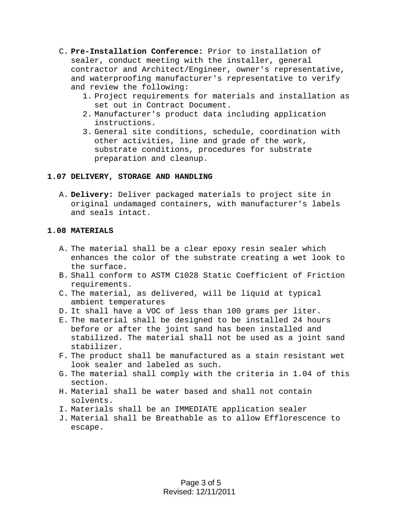- C. **Pre-Installation Conference:** Prior to installation of sealer, conduct meeting with the installer, general contractor and Architect/Engineer, owner's representative, and waterproofing manufacturer's representative to verify and review the following:
	- 1. Project requirements for materials and installation as set out in Contract Document.
	- 2. Manufacturer's product data including application instructions.
	- 3. General site conditions, schedule, coordination with other activities, line and grade of the work, substrate conditions, procedures for substrate preparation and cleanup.

## **1.07 DELIVERY, STORAGE AND HANDLING**

A. **Delivery:** Deliver packaged materials to project site in original undamaged containers, with manufacturer's labels and seals intact.

## **1.08 MATERIALS**

- A. The material shall be a clear epoxy resin sealer which enhances the color of the substrate creating a wet look to the surface.
- B. Shall conform to ASTM C1028 Static Coefficient of Friction requirements.
- C. The material, as delivered, will be liquid at typical ambient temperatures
- D. It shall have a VOC of less than 100 grams per liter.
- E. The material shall be designed to be installed 24 hours before or after the joint sand has been installed and stabilized. The material shall not be used as a joint sand stabilizer.
- F. The product shall be manufactured as a stain resistant wet look sealer and labeled as such.
- G. The material shall comply with the criteria in 1.04 of this section.
- H. Material shall be water based and shall not contain solvents.
- I. Materials shall be an IMMEDIATE application sealer
- J. Material shall be Breathable as to allow Efflorescence to escape.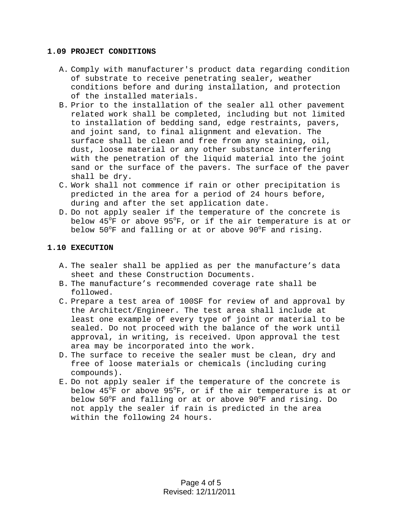#### **1.09 PROJECT CONDITIONS**

- A. Comply with manufacturer's product data regarding condition of substrate to receive penetrating sealer, weather conditions before and during installation, and protection of the installed materials.
- B. Prior to the installation of the sealer all other pavement related work shall be completed, including but not limited to installation of bedding sand, edge restraints, pavers, and joint sand, to final alignment and elevation. The surface shall be clean and free from any staining, oil, dust, loose material or any other substance interfering with the penetration of the liquid material into the joint sand or the surface of the pavers. The surface of the paver shall be dry.
- C. Work shall not commence if rain or other precipitation is predicted in the area for a period of 24 hours before, during and after the set application date.
- D. Do not apply sealer if the temperature of the concrete is below 45°F or above 95°F, or if the air temperature is at or below 50°F and falling or at or above 90°F and rising.

### **1.10 EXECUTION**

- A. The sealer shall be applied as per the manufacture's data sheet and these Construction Documents.
- B. The manufacture's recommended coverage rate shall be followed.
- C. Prepare a test area of 100SF for review of and approval by the Architect/Engineer. The test area shall include at least one example of every type of joint or material to be sealed. Do not proceed with the balance of the work until approval, in writing, is received. Upon approval the test area may be incorporated into the work.
- D. The surface to receive the sealer must be clean, dry and free of loose materials or chemicals (including curing compounds).
- E. Do not apply sealer if the temperature of the concrete is below 45°F or above 95°F, or if the air temperature is at or below 50°F and falling or at or above 90°F and rising. Do not apply the sealer if rain is predicted in the area within the following 24 hours.